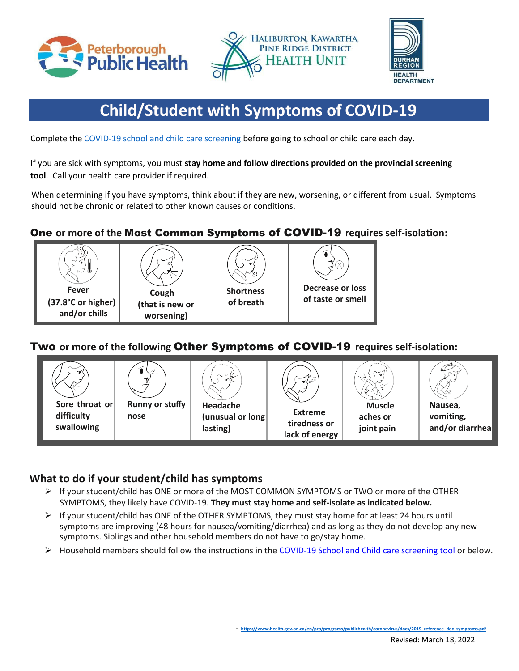





# **Child/Student with Symptoms of COVID-19**

Complete the [COVID-19 school and child care screening](https://covid-19.ontario.ca/school-screening/) before going to school or child care each day.

If you are sick with symptoms, you must **stay home and follow directions provided on the provincial screening tool**. Call your health care provider if required.

When determining if you have symptoms, think about if they are new, worsening, or different from usual. Symptoms should not be chronic or related to other known causes or conditions.

# One **or more of the** Most Common Symptoms of COVID-19 **requires self-isolation:**









# Two **or more of the following** Other Symptoms of COVID-19 **requires self-isolation:**



## **What to do if your student/child has symptoms**

- ➢ If your student/child has ONE or more of the MOST COMMON SYMPTOMS or TWO or more of the OTHER SYMPTOMS, they likely have COVID-19. **They must stay home and self-isolate as indicated below.**
- $\triangleright$  If your student/child has ONE of the OTHER SYMPTOMS, they must stay home for at least 24 hours until symptoms are improving (48 hours for nausea/vomiting/diarrhea) and as long as they do not develop any new symptoms. Siblings and other household members do not have to go/stay home.
- $\triangleright$  Household members should follow the instructions in th[e COVID-19 School and Child care screening tool](https://covid-19.ontario.ca/school-screening/) or below.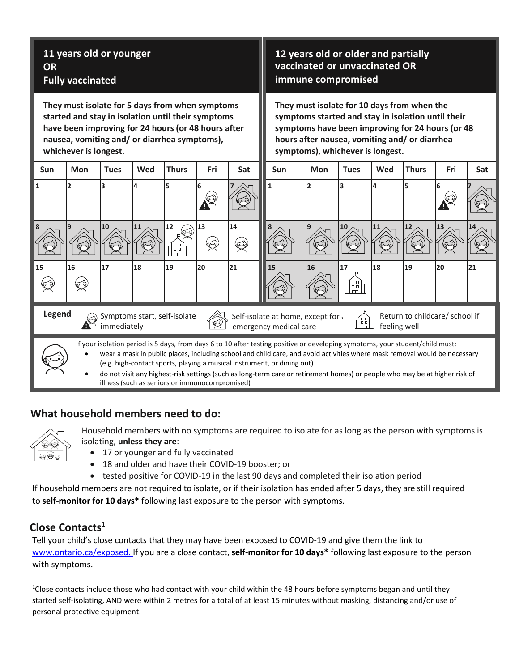| 11 years old or younger<br><b>OR</b><br><b>Fully vaccinated</b>                                                                                                                                                                       |                                                                                                                                                                                                                                                                                                                                                                                                                                                                                                                       |             |           |              |     |     | 12 years old or older and partially<br>vaccinated or unvaccinated OR<br>immune compromised                                                                                                                                                 |            |                            |     |              |     |     |  |
|---------------------------------------------------------------------------------------------------------------------------------------------------------------------------------------------------------------------------------------|-----------------------------------------------------------------------------------------------------------------------------------------------------------------------------------------------------------------------------------------------------------------------------------------------------------------------------------------------------------------------------------------------------------------------------------------------------------------------------------------------------------------------|-------------|-----------|--------------|-----|-----|--------------------------------------------------------------------------------------------------------------------------------------------------------------------------------------------------------------------------------------------|------------|----------------------------|-----|--------------|-----|-----|--|
| They must isolate for 5 days from when symptoms<br>started and stay in isolation until their symptoms<br>have been improving for 24 hours (or 48 hours after<br>nausea, vomiting and/ or diarrhea symptoms),<br>whichever is longest. |                                                                                                                                                                                                                                                                                                                                                                                                                                                                                                                       |             |           |              |     |     | They must isolate for 10 days from when the<br>symptoms started and stay in isolation until their<br>symptoms have been improving for 24 hours (or 48<br>hours after nausea, vomiting and/ or diarrhea<br>symptoms), whichever is longest. |            |                            |     |              |     |     |  |
| <b>Sun</b>                                                                                                                                                                                                                            | Mon                                                                                                                                                                                                                                                                                                                                                                                                                                                                                                                   | <b>Tues</b> | Wed       | <b>Thurs</b> | Fri | Sat | <b>Sun</b>                                                                                                                                                                                                                                 | <b>Mon</b> | <b>Tues</b>                | Wed | <b>Thurs</b> | Fri | Sat |  |
| $\mathbf{1}$                                                                                                                                                                                                                          | 2                                                                                                                                                                                                                                                                                                                                                                                                                                                                                                                     | 3           | 4         | 5            |     |     | $\mathbf{1}$                                                                                                                                                                                                                               | 2          |                            |     | 5            |     |     |  |
| 8                                                                                                                                                                                                                                     |                                                                                                                                                                                                                                                                                                                                                                                                                                                                                                                       | 10          | <b>11</b> | 12<br>1:1    | 13  | 14  | 8                                                                                                                                                                                                                                          |            | 10                         | 11  | 12           | 13  |     |  |
| 15                                                                                                                                                                                                                                    | 16                                                                                                                                                                                                                                                                                                                                                                                                                                                                                                                    | 17          | 18        | 19           | 20  | 21  | 15                                                                                                                                                                                                                                         | 16         | 17<br>88<br>m <sub>l</sub> | 18  | 19           | 20  | 21  |  |
| Legend<br>Symptoms start, self-isolate<br>Return to childcare/ school if<br>Self-isolate at home, except for ,<br>饂<br>immediately<br>feeling well<br>emergency medical care                                                          |                                                                                                                                                                                                                                                                                                                                                                                                                                                                                                                       |             |           |              |     |     |                                                                                                                                                                                                                                            |            |                            |     |              |     |     |  |
|                                                                                                                                                                                                                                       | If your isolation period is 5 days, from days 6 to 10 after testing positive or developing symptoms, your student/child must:<br>wear a mask in public places, including school and child care, and avoid activities where mask removal would be necessary<br>(e.g. high-contact sports, playing a musical instrument, or dining out)<br>do not visit any highest-risk settings (such as long-term care or retirement homes) or people who may be at higher risk of<br>illness (such as seniors or immunocompromised) |             |           |              |     |     |                                                                                                                                                                                                                                            |            |                            |     |              |     |     |  |

#### **What household members need to do:**



Household members with no symptoms are required to isolate for as long as the person with symptoms is isolating, **unless they are**:

- 17 or younger and fully vaccinated
- 18 and older and have their COVID-19 booster; or
- tested positive for COVID-19 in the last 90 days and completed their isolation period

If household members are not required to isolate, or if their isolation has ended after 5 days, they are still required to **self-monitor for 10 days\*** following last exposure to the person with symptoms.

# **Close Contacts<sup>1</sup>**

Tell your child's close contacts that they may have been exposed to COVID-19 and give them the link to [www.ontario.ca/exposed.](https://www.ontario.ca/exposed.) If you are a close contact, **self-monitor for 10 days\*** following last exposure to the person with symptoms.

 $1$ Close contacts include those who had contact with your child within the 48 hours before symptoms began and until they started self-isolating, AND were within 2 metres for a total of at least 15 minutes without masking, distancing and/or use of personal protective equipment.